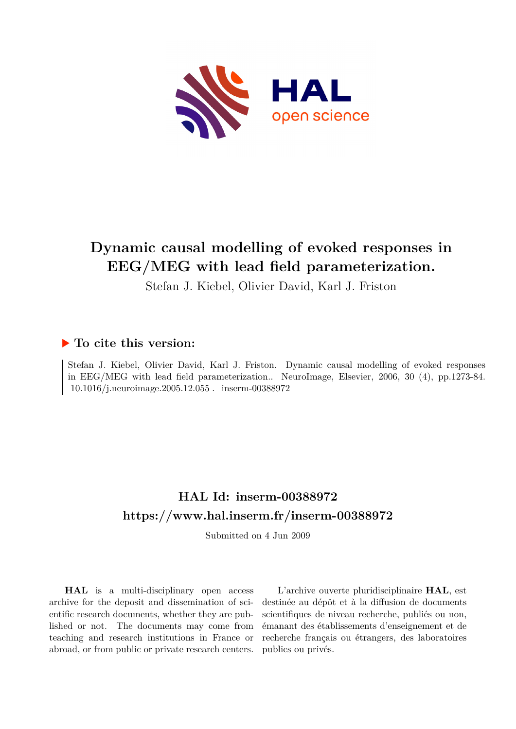

# **Dynamic causal modelling of evoked responses in EEG/MEG with lead field parameterization.**

Stefan J. Kiebel, Olivier David, Karl J. Friston

# **To cite this version:**

Stefan J. Kiebel, Olivier David, Karl J. Friston. Dynamic causal modelling of evoked responses in EEG/MEG with lead field parameterization.. NeuroImage, Elsevier, 2006, 30 (4), pp.1273-84.  $10.1016/j.$ neuroimage.2005.12.055. inserm-00388972

# **HAL Id: inserm-00388972 <https://www.hal.inserm.fr/inserm-00388972>**

Submitted on 4 Jun 2009

**HAL** is a multi-disciplinary open access archive for the deposit and dissemination of scientific research documents, whether they are published or not. The documents may come from teaching and research institutions in France or abroad, or from public or private research centers.

L'archive ouverte pluridisciplinaire **HAL**, est destinée au dépôt et à la diffusion de documents scientifiques de niveau recherche, publiés ou non, émanant des établissements d'enseignement et de recherche français ou étrangers, des laboratoires publics ou privés.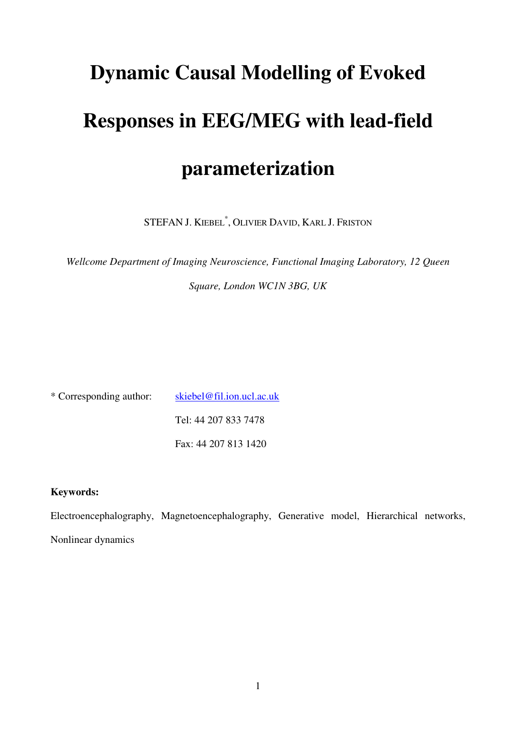# **Dynamic Causal Modelling of Evoked Responses in EEG/MEG with lead-field parameterization**

STEFAN J. KIEBEL\* , OLIVIER DAVID, KARL J. FRISTON

*Wellcome Department of Imaging Neuroscience, Functional Imaging Laboratory, 12 Queen Square, London WC1N 3BG, UK* 

\* Corresponding author: skiebel@fil.ion.ucl.ac.uk

Tel: 44 207 833 7478 Fax: 44 207 813 1420

# **Keywords:**

Electroencephalography, Magnetoencephalography, Generative model, Hierarchical networks,

Nonlinear dynamics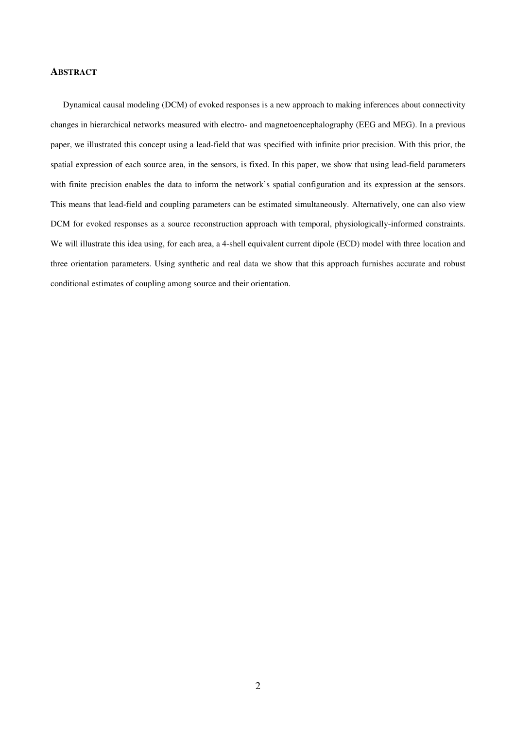# **ABSTRACT**

Dynamical causal modeling (DCM) of evoked responses is a new approach to making inferences about connectivity changes in hierarchical networks measured with electro- and magnetoencephalography (EEG and MEG). In a previous paper, we illustrated this concept using a lead-field that was specified with infinite prior precision. With this prior, the spatial expression of each source area, in the sensors, is fixed. In this paper, we show that using lead-field parameters with finite precision enables the data to inform the network's spatial configuration and its expression at the sensors. This means that lead-field and coupling parameters can be estimated simultaneously. Alternatively, one can also view DCM for evoked responses as a source reconstruction approach with temporal, physiologically-informed constraints. We will illustrate this idea using, for each area, a 4-shell equivalent current dipole (ECD) model with three location and three orientation parameters. Using synthetic and real data we show that this approach furnishes accurate and robust conditional estimates of coupling among source and their orientation.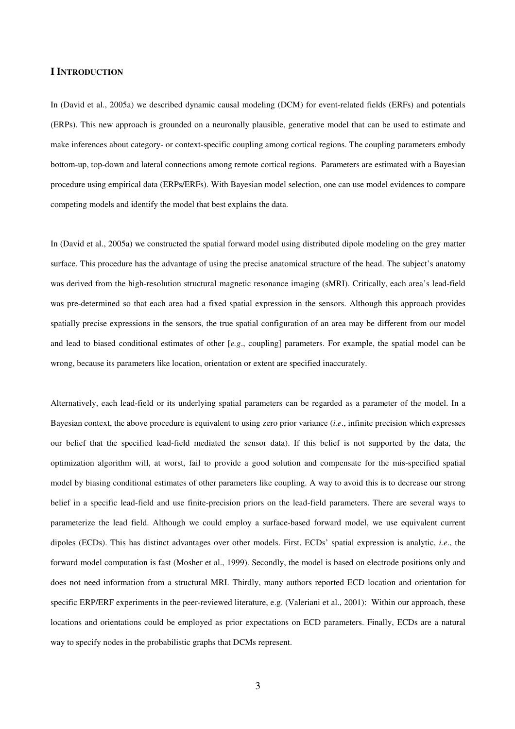# **I INTRODUCTION**

In (David et al., 2005a) we described dynamic causal modeling (DCM) for event-related fields (ERFs) and potentials (ERPs). This new approach is grounded on a neuronally plausible, generative model that can be used to estimate and make inferences about category- or context-specific coupling among cortical regions. The coupling parameters embody bottom-up, top-down and lateral connections among remote cortical regions. Parameters are estimated with a Bayesian procedure using empirical data (ERPs/ERFs). With Bayesian model selection, one can use model evidences to compare competing models and identify the model that best explains the data.

In (David et al., 2005a) we constructed the spatial forward model using distributed dipole modeling on the grey matter surface. This procedure has the advantage of using the precise anatomical structure of the head. The subject's anatomy was derived from the high-resolution structural magnetic resonance imaging (sMRI). Critically, each area's lead-field was pre-determined so that each area had a fixed spatial expression in the sensors. Although this approach provides spatially precise expressions in the sensors, the true spatial configuration of an area may be different from our model and lead to biased conditional estimates of other [*e.g*., coupling] parameters. For example, the spatial model can be wrong, because its parameters like location, orientation or extent are specified inaccurately.

Alternatively, each lead-field or its underlying spatial parameters can be regarded as a parameter of the model. In a Bayesian context, the above procedure is equivalent to using zero prior variance (*i.e*., infinite precision which expresses our belief that the specified lead-field mediated the sensor data). If this belief is not supported by the data, the optimization algorithm will, at worst, fail to provide a good solution and compensate for the mis-specified spatial model by biasing conditional estimates of other parameters like coupling. A way to avoid this is to decrease our strong belief in a specific lead-field and use finite-precision priors on the lead-field parameters. There are several ways to parameterize the lead field. Although we could employ a surface-based forward model, we use equivalent current dipoles (ECDs). This has distinct advantages over other models. First, ECDs' spatial expression is analytic, *i.e*., the forward model computation is fast (Mosher et al., 1999). Secondly, the model is based on electrode positions only and does not need information from a structural MRI. Thirdly, many authors reported ECD location and orientation for specific ERP/ERF experiments in the peer-reviewed literature, e.g. (Valeriani et al., 2001): Within our approach, these locations and orientations could be employed as prior expectations on ECD parameters. Finally, ECDs are a natural way to specify nodes in the probabilistic graphs that DCMs represent.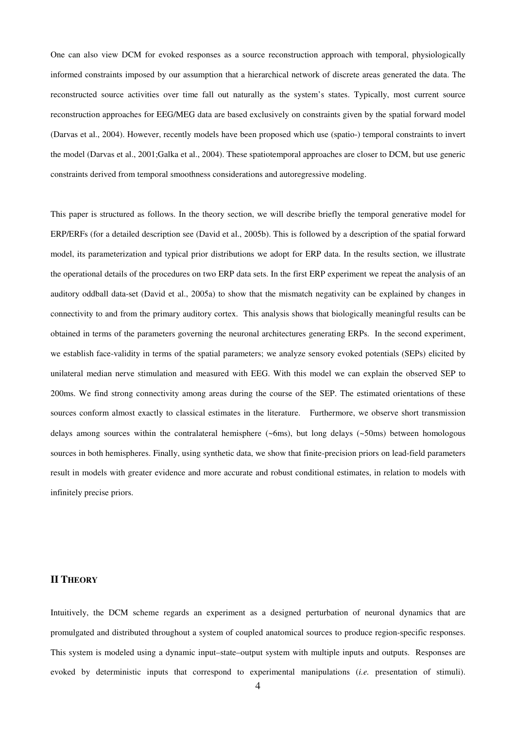One can also view DCM for evoked responses as a source reconstruction approach with temporal, physiologically informed constraints imposed by our assumption that a hierarchical network of discrete areas generated the data. The reconstructed source activities over time fall out naturally as the system's states. Typically, most current source reconstruction approaches for EEG/MEG data are based exclusively on constraints given by the spatial forward model (Darvas et al., 2004). However, recently models have been proposed which use (spatio-) temporal constraints to invert the model (Darvas et al., 2001;Galka et al., 2004). These spatiotemporal approaches are closer to DCM, but use generic constraints derived from temporal smoothness considerations and autoregressive modeling.

This paper is structured as follows. In the theory section, we will describe briefly the temporal generative model for ERP/ERFs (for a detailed description see (David et al., 2005b). This is followed by a description of the spatial forward model, its parameterization and typical prior distributions we adopt for ERP data. In the results section, we illustrate the operational details of the procedures on two ERP data sets. In the first ERP experiment we repeat the analysis of an auditory oddball data-set (David et al., 2005a) to show that the mismatch negativity can be explained by changes in connectivity to and from the primary auditory cortex. This analysis shows that biologically meaningful results can be obtained in terms of the parameters governing the neuronal architectures generating ERPs. In the second experiment, we establish face-validity in terms of the spatial parameters; we analyze sensory evoked potentials (SEPs) elicited by unilateral median nerve stimulation and measured with EEG. With this model we can explain the observed SEP to 200ms. We find strong connectivity among areas during the course of the SEP. The estimated orientations of these sources conform almost exactly to classical estimates in the literature. Furthermore, we observe short transmission delays among sources within the contralateral hemisphere (~6ms), but long delays (~50ms) between homologous sources in both hemispheres. Finally, using synthetic data, we show that finite-precision priors on lead-field parameters result in models with greater evidence and more accurate and robust conditional estimates, in relation to models with infinitely precise priors.

#### **II THEORY**

Intuitively, the DCM scheme regards an experiment as a designed perturbation of neuronal dynamics that are promulgated and distributed throughout a system of coupled anatomical sources to produce region-specific responses. This system is modeled using a dynamic input–state–output system with multiple inputs and outputs. Responses are evoked by deterministic inputs that correspond to experimental manipulations (*i.e.* presentation of stimuli).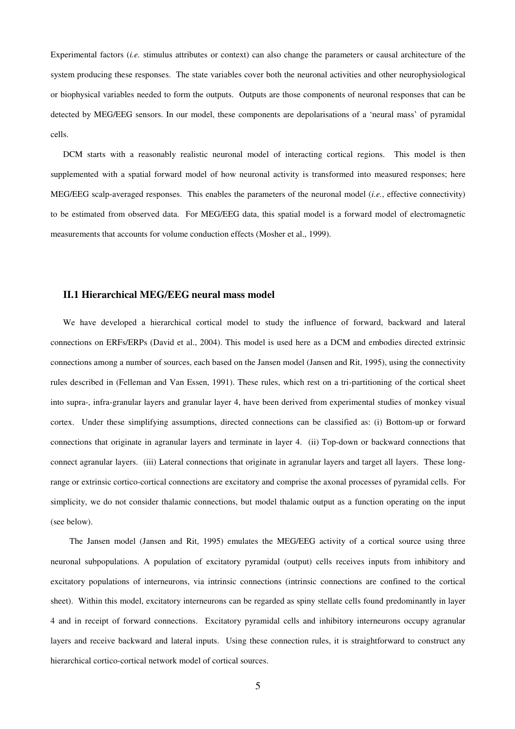Experimental factors (*i.e.* stimulus attributes or context) can also change the parameters or causal architecture of the system producing these responses. The state variables cover both the neuronal activities and other neurophysiological or biophysical variables needed to form the outputs. Outputs are those components of neuronal responses that can be detected by MEG/EEG sensors. In our model, these components are depolarisations of a 'neural mass' of pyramidal cells.

DCM starts with a reasonably realistic neuronal model of interacting cortical regions. This model is then supplemented with a spatial forward model of how neuronal activity is transformed into measured responses; here MEG/EEG scalp-averaged responses. This enables the parameters of the neuronal model (*i.e.*, effective connectivity) to be estimated from observed data. For MEG/EEG data, this spatial model is a forward model of electromagnetic measurements that accounts for volume conduction effects (Mosher et al., 1999).

# **II.1 Hierarchical MEG/EEG neural mass model**

We have developed a hierarchical cortical model to study the influence of forward, backward and lateral connections on ERFs/ERPs (David et al., 2004). This model is used here as a DCM and embodies directed extrinsic connections among a number of sources, each based on the Jansen model (Jansen and Rit, 1995), using the connectivity rules described in (Felleman and Van Essen, 1991). These rules, which rest on a tri-partitioning of the cortical sheet into supra-, infra-granular layers and granular layer 4, have been derived from experimental studies of monkey visual cortex. Under these simplifying assumptions, directed connections can be classified as: (i) Bottom-up or forward connections that originate in agranular layers and terminate in layer 4. (ii) Top-down or backward connections that connect agranular layers. (iii) Lateral connections that originate in agranular layers and target all layers. These longrange or extrinsic cortico-cortical connections are excitatory and comprise the axonal processes of pyramidal cells. For simplicity, we do not consider thalamic connections, but model thalamic output as a function operating on the input (see below).

 The Jansen model (Jansen and Rit, 1995) emulates the MEG/EEG activity of a cortical source using three neuronal subpopulations. A population of excitatory pyramidal (output) cells receives inputs from inhibitory and excitatory populations of interneurons, via intrinsic connections (intrinsic connections are confined to the cortical sheet). Within this model, excitatory interneurons can be regarded as spiny stellate cells found predominantly in layer 4 and in receipt of forward connections. Excitatory pyramidal cells and inhibitory interneurons occupy agranular layers and receive backward and lateral inputs. Using these connection rules, it is straightforward to construct any hierarchical cortico-cortical network model of cortical sources.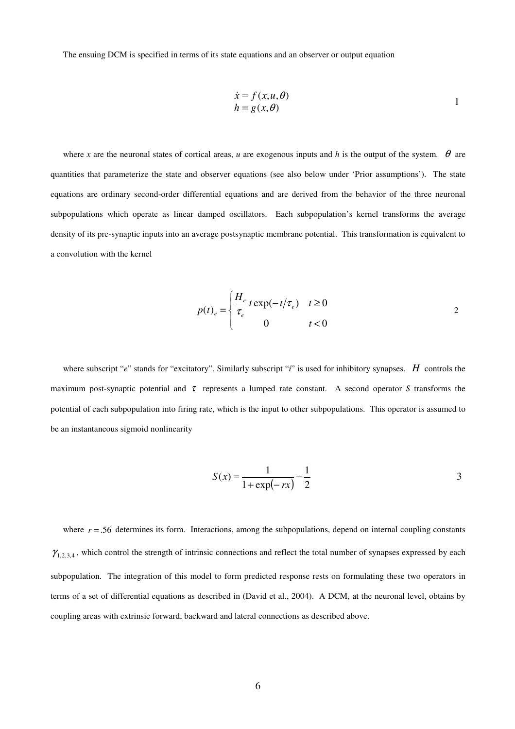The ensuing DCM is specified in terms of its state equations and an observer or output equation

$$
\begin{aligned}\n\dot{x} &= f(x, u, \theta) \\
h &= g(x, \theta)\n\end{aligned}
$$

where *x* are the neuronal states of cortical areas, *u* are exogenous inputs and *h* is the output of the system.  $\theta$  are quantities that parameterize the state and observer equations (see also below under 'Prior assumptions'). The state equations are ordinary second-order differential equations and are derived from the behavior of the three neuronal subpopulations which operate as linear damped oscillators. Each subpopulation's kernel transforms the average density of its pre-synaptic inputs into an average postsynaptic membrane potential. This transformation is equivalent to a convolution with the kernel

$$
p(t)_e = \begin{cases} \frac{H_e}{\tau_e} t \exp(-t/\tau_e) & t \ge 0\\ 0 & t < 0 \end{cases} \tag{2}
$$

where subscript "*e*" stands for "excitatory". Similarly subscript "*i*" is used for inhibitory synapses. *H* controls the maximum post-synaptic potential and τ represents a lumped rate constant. A second operator *S* transforms the potential of each subpopulation into firing rate, which is the input to other subpopulations. This operator is assumed to be an instantaneous sigmoid nonlinearity

$$
S(x) = \frac{1}{1 + \exp(-rx)} - \frac{1}{2}
$$
3

where  $r = 0.56$  determines its form. Interactions, among the subpopulations, depend on internal coupling constants  $\gamma_{1,2,3,4}$ , which control the strength of intrinsic connections and reflect the total number of synapses expressed by each subpopulation. The integration of this model to form predicted response rests on formulating these two operators in terms of a set of differential equations as described in (David et al., 2004). A DCM, at the neuronal level, obtains by coupling areas with extrinsic forward, backward and lateral connections as described above.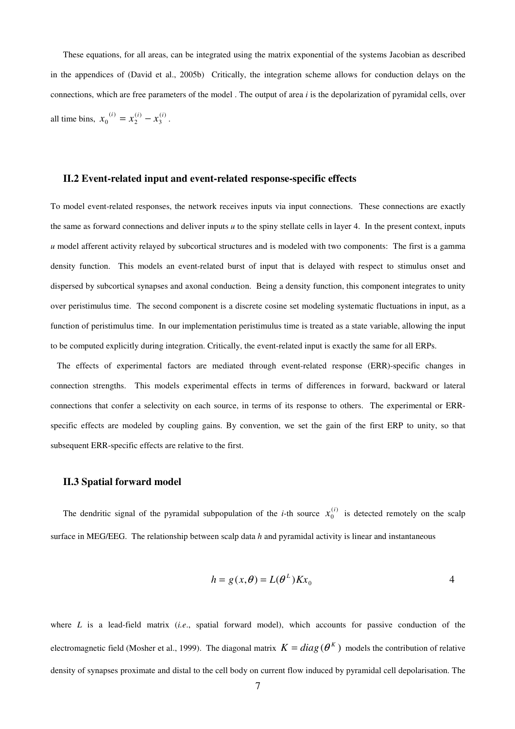These equations, for all areas, can be integrated using the matrix exponential of the systems Jacobian as described in the appendices of (David et al., 2005b) Critically, the integration scheme allows for conduction delays on the connections, which are free parameters of the model . The output of area *i* is the depolarization of pyramidal cells, over all time bins,  $x_0^{(i)} = x_2^{(i)} - x_3^{(i)}$  $\left( i\right)$ 2  $(i)$  $\mathbf{0}$  $x_0^{(i)} = x_2^{(i)} - x_3^{(i)}$ .

# **II.2 Event-related input and event-related response-specific effects**

To model event-related responses, the network receives inputs via input connections. These connections are exactly the same as forward connections and deliver inputs *u* to the spiny stellate cells in layer 4. In the present context, inputs *u* model afferent activity relayed by subcortical structures and is modeled with two components: The first is a gamma density function. This models an event-related burst of input that is delayed with respect to stimulus onset and dispersed by subcortical synapses and axonal conduction. Being a density function, this component integrates to unity over peristimulus time. The second component is a discrete cosine set modeling systematic fluctuations in input, as a function of peristimulus time. In our implementation peristimulus time is treated as a state variable, allowing the input to be computed explicitly during integration. Critically, the event-related input is exactly the same for all ERPs.

 The effects of experimental factors are mediated through event-related response (ERR)-specific changes in connection strengths. This models experimental effects in terms of differences in forward, backward or lateral connections that confer a selectivity on each source, in terms of its response to others. The experimental or ERRspecific effects are modeled by coupling gains. By convention, we set the gain of the first ERP to unity, so that subsequent ERR-specific effects are relative to the first.

# **II.3 Spatial forward model**

The dendritic signal of the pyramidal subpopulation of the *i*-th source  $x_0^{(i)}$  $x_0^{(i)}$  is detected remotely on the scalp surface in MEG/EEG. The relationship between scalp data *h* and pyramidal activity is linear and instantaneous

$$
h = g(x, \theta) = L(\theta^L) K x_0
$$
 4

where *L* is a lead-field matrix (*i.e.*, spatial forward model), which accounts for passive conduction of the electromagnetic field (Mosher et al., 1999). The diagonal matrix  $K = diag(\theta^K)$  models the contribution of relative density of synapses proximate and distal to the cell body on current flow induced by pyramidal cell depolarisation. The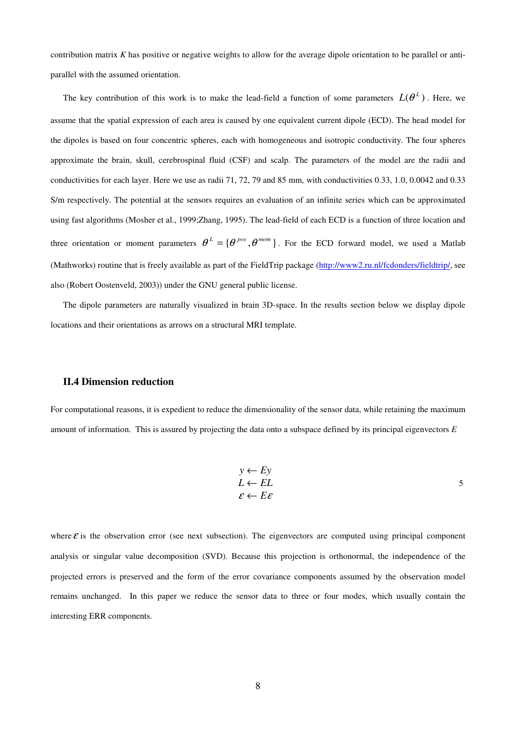contribution matrix *K* has positive or negative weights to allow for the average dipole orientation to be parallel or antiparallel with the assumed orientation.

The key contribution of this work is to make the lead-field a function of some parameters  $L(\theta^L)$ . Here, we assume that the spatial expression of each area is caused by one equivalent current dipole (ECD). The head model for the dipoles is based on four concentric spheres, each with homogeneous and isotropic conductivity. The four spheres approximate the brain, skull, cerebrospinal fluid (CSF) and scalp. The parameters of the model are the radii and conductivities for each layer. Here we use as radii 71, 72, 79 and 85 mm, with conductivities 0.33, 1.0, 0.0042 and 0.33 S/m respectively. The potential at the sensors requires an evaluation of an infinite series which can be approximated using fast algorithms (Mosher et al., 1999;Zhang, 1995). The lead-field of each ECD is a function of three location and three orientation or moment parameters  $\theta^L = {\theta^{pos}, \theta^{mom}}$ . For the ECD forward model, we used a Matlab (Mathworks) routine that is freely available as part of the FieldTrip package (http://www2.ru.nl/fcdonders/fieldtrip/, see also (Robert Oostenveld, 2003)) under the GNU general public license.

The dipole parameters are naturally visualized in brain 3D-space. In the results section below we display dipole locations and their orientations as arrows on a structural MRI template.

### **II.4 Dimension reduction**

For computational reasons, it is expedient to reduce the dimensionality of the sensor data, while retaining the maximum amount of information. This is assured by projecting the data onto a subspace defined by its principal eigenvectors *E* 

$$
y \leftarrow Ey \nL \leftarrow EL \n\varepsilon \leftarrow E\varepsilon
$$

where  $\mathcal{E}$  is the observation error (see next subsection). The eigenvectors are computed using principal component analysis or singular value decomposition (SVD). Because this projection is orthonormal, the independence of the projected errors is preserved and the form of the error covariance components assumed by the observation model remains unchanged. In this paper we reduce the sensor data to three or four modes, which usually contain the interesting ERR components.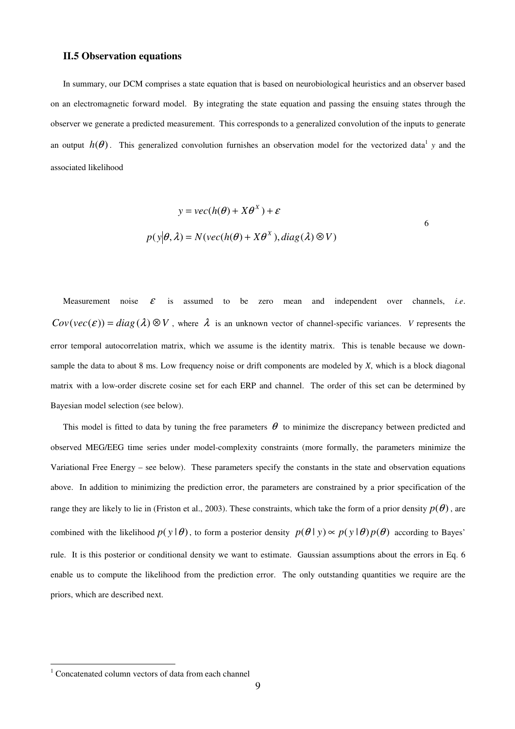# **II.5 Observation equations**

In summary, our DCM comprises a state equation that is based on neurobiological heuristics and an observer based on an electromagnetic forward model. By integrating the state equation and passing the ensuing states through the observer we generate a predicted measurement. This corresponds to a generalized convolution of the inputs to generate an output  $h(\theta)$ . This generalized convolution furnishes an observation model for the vectorized data<sup>1</sup> y and the associated likelihood

$$
y = vec(h(\theta) + X\theta^{X}) + \varepsilon
$$
  

$$
p(y|\theta, \lambda) = N(vec(h(\theta) + X\theta^{X}), diag(\lambda) \otimes V)
$$

Measurement noise  $\mathcal{E}$  is assumed to be zero mean and independent over channels, *i.e.*  $Cov(vec(\varepsilon)) = diag(\lambda) \otimes V$ , where  $\lambda$  is an unknown vector of channel-specific variances. *V* represents the error temporal autocorrelation matrix, which we assume is the identity matrix. This is tenable because we downsample the data to about 8 ms. Low frequency noise or drift components are modeled by *X*, which is a block diagonal matrix with a low-order discrete cosine set for each ERP and channel. The order of this set can be determined by Bayesian model selection (see below).

This model is fitted to data by tuning the free parameters  $\theta$  to minimize the discrepancy between predicted and observed MEG/EEG time series under model-complexity constraints (more formally, the parameters minimize the Variational Free Energy – see below). These parameters specify the constants in the state and observation equations above. In addition to minimizing the prediction error, the parameters are constrained by a prior specification of the range they are likely to lie in (Friston et al., 2003). These constraints, which take the form of a prior density  $p(\theta)$ , are combined with the likelihood  $p(y | \theta)$ , to form a posterior density  $p(\theta | y) \propto p(y | \theta) p(\theta)$  according to Bayes' rule. It is this posterior or conditional density we want to estimate. Gaussian assumptions about the errors in Eq. 6 enable us to compute the likelihood from the prediction error. The only outstanding quantities we require are the priors, which are described next.

 $\overline{a}$ 

<sup>1</sup> Concatenated column vectors of data from each channel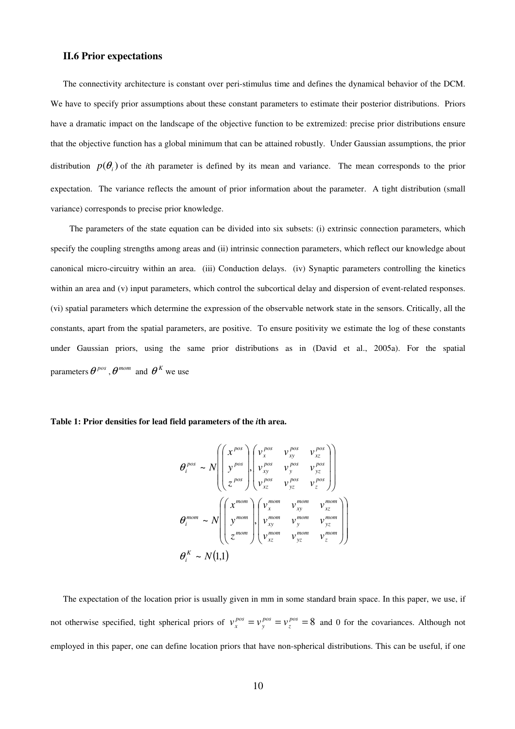# **II.6 Prior expectations**

The connectivity architecture is constant over peri-stimulus time and defines the dynamical behavior of the DCM. We have to specify prior assumptions about these constant parameters to estimate their posterior distributions. Priors have a dramatic impact on the landscape of the objective function to be extremized: precise prior distributions ensure that the objective function has a global minimum that can be attained robustly. Under Gaussian assumptions, the prior distribution  $p(\theta_i)$  of the *i*th parameter is defined by its mean and variance. The mean corresponds to the prior expectation. The variance reflects the amount of prior information about the parameter. A tight distribution (small variance) corresponds to precise prior knowledge.

 The parameters of the state equation can be divided into six subsets: (i) extrinsic connection parameters, which specify the coupling strengths among areas and (ii) intrinsic connection parameters, which reflect our knowledge about canonical micro-circuitry within an area. (iii) Conduction delays. (iv) Synaptic parameters controlling the kinetics within an area and (v) input parameters, which control the subcortical delay and dispersion of event-related responses. (vi) spatial parameters which determine the expression of the observable network state in the sensors. Critically, all the constants, apart from the spatial parameters, are positive. To ensure positivity we estimate the log of these constants under Gaussian priors, using the same prior distributions as in (David et al., 2005a). For the spatial parameters  $\theta^{pos}$ ,  $\theta^{mom}$  and  $\theta^{K}$  we use

#### Table 1: Prior densities for lead field parameters of the *i*th area.

$$
\theta_i^{pos} \sim N \left( \begin{pmatrix} x^{pos} \\ y^{pos} \\ z^{pos} \end{pmatrix} \begin{pmatrix} v_x^{pos} & v_{xy}^{pos} & v_{xz}^{pos} \\ v_x^{pos} & v_y^{pos} & v_{yz}^{pos} \\ v_{xy}^{pos} & v_y^{pos} & v_z^{pos} \end{pmatrix} \right)
$$

$$
\theta_i^{mom} \sim N \left( \begin{pmatrix} x^{mom} \\ y^{mom} \\ y^{mom} \end{pmatrix} \begin{pmatrix} v_x^{mom} & v_{xy}^{mom} & v_{xz}^{nom} \\ v_x^{nom} & v_{xy}^{nom} & v_{xz}^{nom} \\ v_{xz}^{mom} & v_y^{nom} & v_{yz}^{nom} \\ v_{xz}^{mom} & v_{yz}^{mom} & v_{z}^{mom} \end{pmatrix} \right)
$$

$$
\theta_i^K \sim N(1,1)
$$

The expectation of the location prior is usually given in mm in some standard brain space. In this paper, we use, if not otherwise specified, tight spherical priors of  $v_x^{pos} = v_y^{pos} = v_z^{pos} = 8$ *z pos y pos*  $v_x^{pos} = v_y^{pos} = v_z^{pos} = 8$  and 0 for the covariances. Although not employed in this paper, one can define location priors that have non-spherical distributions. This can be useful, if one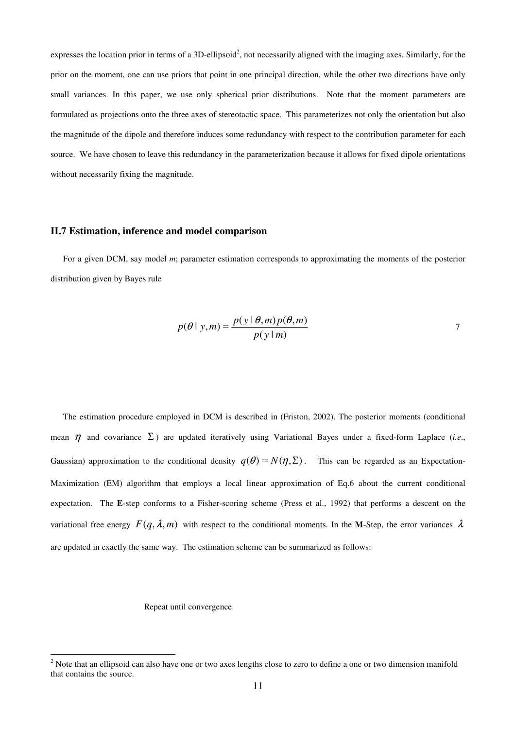expresses the location prior in terms of a 3D-ellipsoid<sup>2</sup>, not necessarily aligned with the imaging axes. Similarly, for the prior on the moment, one can use priors that point in one principal direction, while the other two directions have only small variances. In this paper, we use only spherical prior distributions. Note that the moment parameters are formulated as projections onto the three axes of stereotactic space. This parameterizes not only the orientation but also the magnitude of the dipole and therefore induces some redundancy with respect to the contribution parameter for each source. We have chosen to leave this redundancy in the parameterization because it allows for fixed dipole orientations without necessarily fixing the magnitude.

#### **II.7 Estimation, inference and model comparison**

For a given DCM, say model *m*; parameter estimation corresponds to approximating the moments of the posterior distribution given by Bayes rule

$$
p(\theta \mid y, m) = \frac{p(y \mid \theta, m) p(\theta, m)}{p(y \mid m)}
$$

The estimation procedure employed in DCM is described in (Friston, 2002). The posterior moments (conditional mean  $\eta$  and covariance  $\Sigma$ ) are updated iteratively using Variational Bayes under a fixed-form Laplace (*i.e.*, Gaussian) approximation to the conditional density  $q(\theta) = N(\eta, \Sigma)$ . This can be regarded as an Expectation-Maximization (EM) algorithm that employs a local linear approximation of Eq.6 about the current conditional expectation. The **E**-step conforms to a Fisher-scoring scheme (Press et al., 1992) that performs a descent on the variational free energy  $F(q, \lambda, m)$  with respect to the conditional moments. In the M-Step, the error variances  $\lambda$ are updated in exactly the same way. The estimation scheme can be summarized as follows:

#### Repeat until convergence

<sup>&</sup>lt;sup>2</sup> Note that an ellipsoid can also have one or two axes lengths close to zero to define a one or two dimension manifold <sup>2</sup> that contains the source.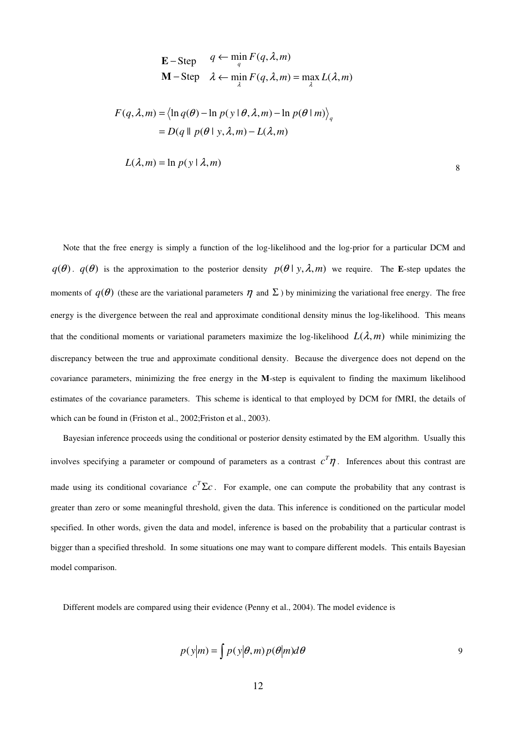$$
\mathbf{E} - \text{Step} \qquad q \leftarrow \min_{q} F(q, \lambda, m)
$$
\n
$$
\mathbf{M} - \text{Step} \qquad \lambda \leftarrow \min_{\lambda} F(q, \lambda, m) = \max_{\lambda} L(\lambda, m)
$$
\n
$$
F(q, \lambda, m) = \left\langle \ln q(\theta) - \ln p(y | \theta, \lambda, m) - \ln p(\theta | m) \right\rangle_q
$$
\n
$$
= D(q || p(\theta | y, \lambda, m) - L(\lambda, m))
$$

$$
L(\lambda, m) = \ln p(y | \lambda, m)
$$

Note that the free energy is simply a function of the log-likelihood and the log-prior for a particular DCM and  $q(\theta)$ .  $q(\theta)$  is the approximation to the posterior density  $p(\theta | y, \lambda, m)$  we require. The **E**-step updates the moments of  $q(\theta)$  (these are the variational parameters  $\eta$  and  $\Sigma$ ) by minimizing the variational free energy. The free energy is the divergence between the real and approximate conditional density minus the log-likelihood. This means that the conditional moments or variational parameters maximize the log-likelihood  $L(\lambda, m)$  while minimizing the discrepancy between the true and approximate conditional density. Because the divergence does not depend on the covariance parameters, minimizing the free energy in the **M**-step is equivalent to finding the maximum likelihood estimates of the covariance parameters. This scheme is identical to that employed by DCM for fMRI, the details of which can be found in (Friston et al., 2002;Friston et al., 2003).

Bayesian inference proceeds using the conditional or posterior density estimated by the EM algorithm. Usually this involves specifying a parameter or compound of parameters as a contrast  $c^T \eta$ . Inferences about this contrast are made using its conditional covariance  $c^T \Sigma c$ . For example, one can compute the probability that any contrast is greater than zero or some meaningful threshold, given the data. This inference is conditioned on the particular model specified. In other words, given the data and model, inference is based on the probability that a particular contrast is bigger than a specified threshold. In some situations one may want to compare different models. This entails Bayesian model comparison.

Different models are compared using their evidence (Penny et al., 2004). The model evidence is

$$
p(y|m) = \int p(y|\theta, m) p(\theta|m) d\theta
$$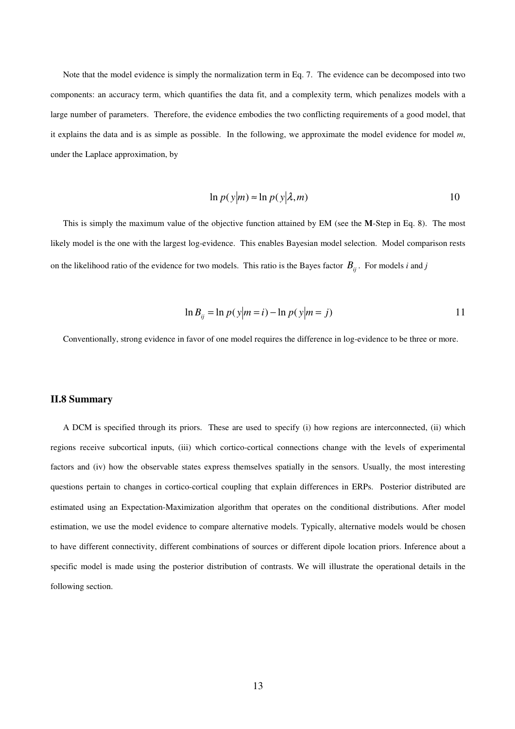Note that the model evidence is simply the normalization term in Eq. 7. The evidence can be decomposed into two components: an accuracy term, which quantifies the data fit, and a complexity term, which penalizes models with a large number of parameters. Therefore, the evidence embodies the two conflicting requirements of a good model, that it explains the data and is as simple as possible. In the following, we approximate the model evidence for model *m*, under the Laplace approximation, by

$$
\ln p(y|m) \approx \ln p(y|\lambda, m) \tag{10}
$$

This is simply the maximum value of the objective function attained by EM (see the **M**-Step in Eq. 8). The most likely model is the one with the largest log-evidence. This enables Bayesian model selection. Model comparison rests on the likelihood ratio of the evidence for two models. This ratio is the Bayes factor  $B_{ij}$ . For models *i* and *j* 

$$
\ln B_{ij} = \ln p(y|m = i) - \ln p(y|m = j)
$$

Conventionally, strong evidence in favor of one model requires the difference in log-evidence to be three or more.

#### **II.8 Summary**

A DCM is specified through its priors. These are used to specify (i) how regions are interconnected, (ii) which regions receive subcortical inputs, (iii) which cortico-cortical connections change with the levels of experimental factors and (iv) how the observable states express themselves spatially in the sensors. Usually, the most interesting questions pertain to changes in cortico-cortical coupling that explain differences in ERPs. Posterior distributed are estimated using an Expectation-Maximization algorithm that operates on the conditional distributions. After model estimation, we use the model evidence to compare alternative models. Typically, alternative models would be chosen to have different connectivity, different combinations of sources or different dipole location priors. Inference about a specific model is made using the posterior distribution of contrasts. We will illustrate the operational details in the following section.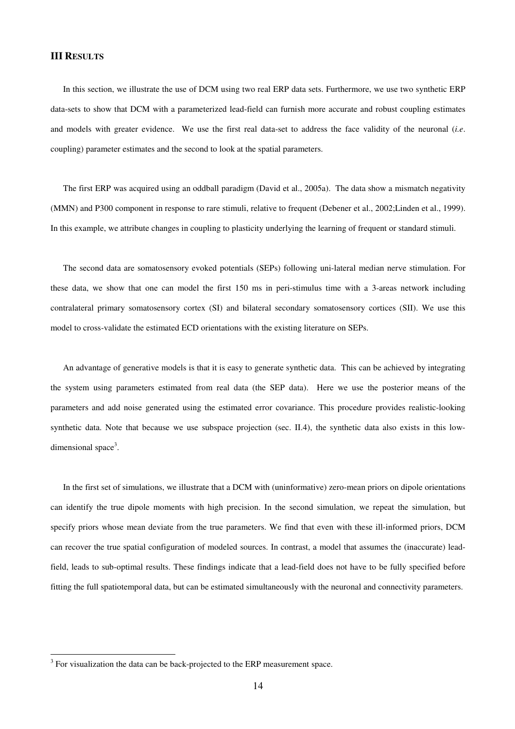### **III RESULTS**

In this section, we illustrate the use of DCM using two real ERP data sets. Furthermore, we use two synthetic ERP data-sets to show that DCM with a parameterized lead-field can furnish more accurate and robust coupling estimates and models with greater evidence. We use the first real data-set to address the face validity of the neuronal (*i.e*. coupling) parameter estimates and the second to look at the spatial parameters.

The first ERP was acquired using an oddball paradigm (David et al., 2005a). The data show a mismatch negativity (MMN) and P300 component in response to rare stimuli, relative to frequent (Debener et al., 2002;Linden et al., 1999). In this example, we attribute changes in coupling to plasticity underlying the learning of frequent or standard stimuli.

The second data are somatosensory evoked potentials (SEPs) following uni-lateral median nerve stimulation. For these data, we show that one can model the first 150 ms in peri-stimulus time with a 3-areas network including contralateral primary somatosensory cortex (SI) and bilateral secondary somatosensory cortices (SII). We use this model to cross-validate the estimated ECD orientations with the existing literature on SEPs.

An advantage of generative models is that it is easy to generate synthetic data. This can be achieved by integrating the system using parameters estimated from real data (the SEP data). Here we use the posterior means of the parameters and add noise generated using the estimated error covariance. This procedure provides realistic-looking synthetic data. Note that because we use subspace projection (sec. II.4), the synthetic data also exists in this lowdimensional space<sup>3</sup>.

In the first set of simulations, we illustrate that a DCM with (uninformative) zero-mean priors on dipole orientations can identify the true dipole moments with high precision. In the second simulation, we repeat the simulation, but specify priors whose mean deviate from the true parameters. We find that even with these ill-informed priors, DCM can recover the true spatial configuration of modeled sources. In contrast, a model that assumes the (inaccurate) leadfield, leads to sub-optimal results. These findings indicate that a lead-field does not have to be fully specified before fitting the full spatiotemporal data, but can be estimated simultaneously with the neuronal and connectivity parameters.

<sup>&</sup>lt;sup>3</sup> For visualization the data can be back-projected to the ERP measurement space.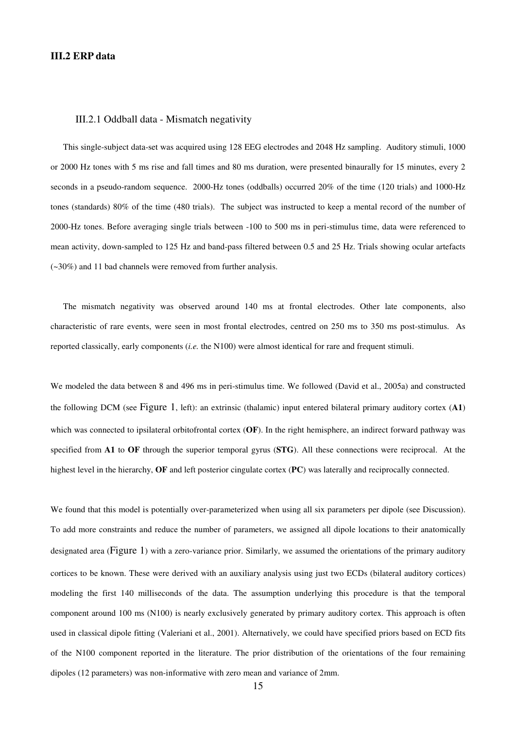# **III.2 ERP data**

#### III.2.1 Oddball data - Mismatch negativity

This single-subject data-set was acquired using 128 EEG electrodes and 2048 Hz sampling. Auditory stimuli, 1000 or 2000 Hz tones with 5 ms rise and fall times and 80 ms duration, were presented binaurally for 15 minutes, every 2 seconds in a pseudo-random sequence. 2000-Hz tones (oddballs) occurred 20% of the time (120 trials) and 1000-Hz tones (standards) 80% of the time (480 trials). The subject was instructed to keep a mental record of the number of 2000-Hz tones. Before averaging single trials between -100 to 500 ms in peri-stimulus time, data were referenced to mean activity, down-sampled to 125 Hz and band-pass filtered between 0.5 and 25 Hz. Trials showing ocular artefacts (~30%) and 11 bad channels were removed from further analysis.

The mismatch negativity was observed around 140 ms at frontal electrodes. Other late components, also characteristic of rare events, were seen in most frontal electrodes, centred on 250 ms to 350 ms post-stimulus. As reported classically, early components (*i.e.* the N100) were almost identical for rare and frequent stimuli.

We modeled the data between 8 and 496 ms in peri-stimulus time. We followed (David et al., 2005a) and constructed the following DCM (see Figure 1, left): an extrinsic (thalamic) input entered bilateral primary auditory cortex (**A1**) which was connected to ipsilateral orbitofrontal cortex (OF). In the right hemisphere, an indirect forward pathway was specified from **A1** to **OF** through the superior temporal gyrus (**STG**). All these connections were reciprocal. At the highest level in the hierarchy, **OF** and left posterior cingulate cortex (**PC**) was laterally and reciprocally connected.

We found that this model is potentially over-parameterized when using all six parameters per dipole (see Discussion). To add more constraints and reduce the number of parameters, we assigned all dipole locations to their anatomically designated area (Figure 1) with a zero-variance prior. Similarly, we assumed the orientations of the primary auditory cortices to be known. These were derived with an auxiliary analysis using just two ECDs (bilateral auditory cortices) modeling the first 140 milliseconds of the data. The assumption underlying this procedure is that the temporal component around 100 ms (N100) is nearly exclusively generated by primary auditory cortex. This approach is often used in classical dipole fitting (Valeriani et al., 2001). Alternatively, we could have specified priors based on ECD fits of the N100 component reported in the literature. The prior distribution of the orientations of the four remaining dipoles (12 parameters) was non-informative with zero mean and variance of 2mm.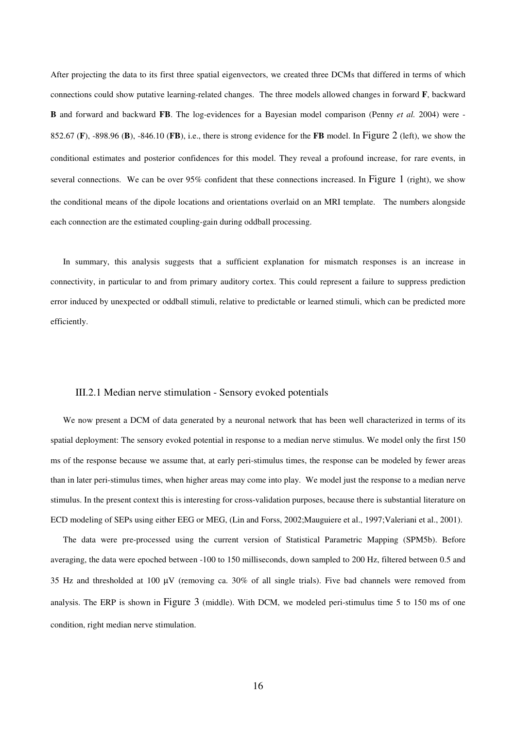After projecting the data to its first three spatial eigenvectors, we created three DCMs that differed in terms of which connections could show putative learning-related changes. The three models allowed changes in forward **F**, backward **B** and forward and backward **FB**. The log-evidences for a Bayesian model comparison (Penny *et al.* 2004) were - 852.67 (**F**), -898.96 (**B**), -846.10 (**FB**), i.e., there is strong evidence for the **FB** model. In Figure 2 (left), we show the conditional estimates and posterior confidences for this model. They reveal a profound increase, for rare events, in several connections. We can be over 95% confident that these connections increased. In Figure 1 (right), we show the conditional means of the dipole locations and orientations overlaid on an MRI template. The numbers alongside each connection are the estimated coupling-gain during oddball processing.

In summary, this analysis suggests that a sufficient explanation for mismatch responses is an increase in connectivity, in particular to and from primary auditory cortex. This could represent a failure to suppress prediction error induced by unexpected or oddball stimuli, relative to predictable or learned stimuli, which can be predicted more efficiently.

### III.2.1 Median nerve stimulation - Sensory evoked potentials

We now present a DCM of data generated by a neuronal network that has been well characterized in terms of its spatial deployment: The sensory evoked potential in response to a median nerve stimulus. We model only the first 150 ms of the response because we assume that, at early peri-stimulus times, the response can be modeled by fewer areas than in later peri-stimulus times, when higher areas may come into play. We model just the response to a median nerve stimulus. In the present context this is interesting for cross-validation purposes, because there is substantial literature on ECD modeling of SEPs using either EEG or MEG, (Lin and Forss, 2002;Mauguiere et al., 1997;Valeriani et al., 2001).

The data were pre-processed using the current version of Statistical Parametric Mapping (SPM5b). Before averaging, the data were epoched between -100 to 150 milliseconds, down sampled to 200 Hz, filtered between 0.5 and 35 Hz and thresholded at 100 µV (removing ca. 30% of all single trials). Five bad channels were removed from analysis. The ERP is shown in Figure  $3$  (middle). With DCM, we modeled peri-stimulus time  $5$  to 150 ms of one condition, right median nerve stimulation.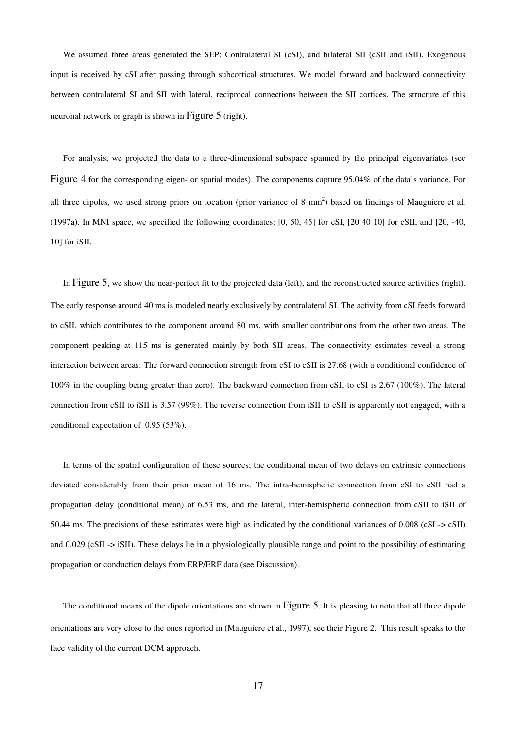We assumed three areas generated the SEP: Contralateral SI (cSI), and bilateral SII (cSII and iSII). Exogenous input is received by cSI after passing through subcortical structures. We model forward and backward connectivity between contralateral SI and SII with lateral, reciprocal connections between the SII cortices. The structure of this neuronal network or graph is shown in Figure 5 (right).

For analysis, we projected the data to a three-dimensional subspace spanned by the principal eigenvariates (see Figure 4 for the corresponding eigen- or spatial modes). The components capture 95.04% of the data's variance. For all three dipoles, we used strong priors on location (prior variance of 8 mm<sup>2</sup>) based on findings of Mauguiere et al. (1997a). In MNI space, we specified the following coordinates:  $[0, 50, 45]$  for cSI,  $[20, 40, 10]$  for cSII, and  $[20, -40,$ 10] for iSII.

In Figure 5, we show the near-perfect fit to the projected data (left), and the reconstructed source activities (right). The early response around 40 ms is modeled nearly exclusively by contralateral SI. The activity from cSI feeds forward to cSII, which contributes to the component around 80 ms, with smaller contributions from the other two areas. The component peaking at 115 ms is generated mainly by both SII areas. The connectivity estimates reveal a strong interaction between areas: The forward connection strength from cSI to cSII is 27.68 (with a conditional confidence of 100% in the coupling being greater than zero). The backward connection from cSII to cSI is 2.67 (100%). The lateral connection from cSII to iSII is 3.57 (99%). The reverse connection from iSII to cSII is apparently not engaged, with a conditional expectation of 0.95 (53%).

In terms of the spatial configuration of these sources; the conditional mean of two delays on extrinsic connections deviated considerably from their prior mean of 16 ms. The intra-hemispheric connection from cSI to cSII had a propagation delay (conditional mean) of 6.53 ms, and the lateral, inter-hemispheric connection from cSII to iSII of 50.44 ms. The precisions of these estimates were high as indicated by the conditional variances of 0.008 (cSI -> cSII) and 0.029 (cSII -> iSII). These delays lie in a physiologically plausible range and point to the possibility of estimating propagation or conduction delays from ERP/ERF data (see Discussion).

The conditional means of the dipole orientations are shown in Figure 5. It is pleasing to note that all three dipole orientations are very close to the ones reported in (Mauguiere et al., 1997), see their Figure 2. This result speaks to the face validity of the current DCM approach.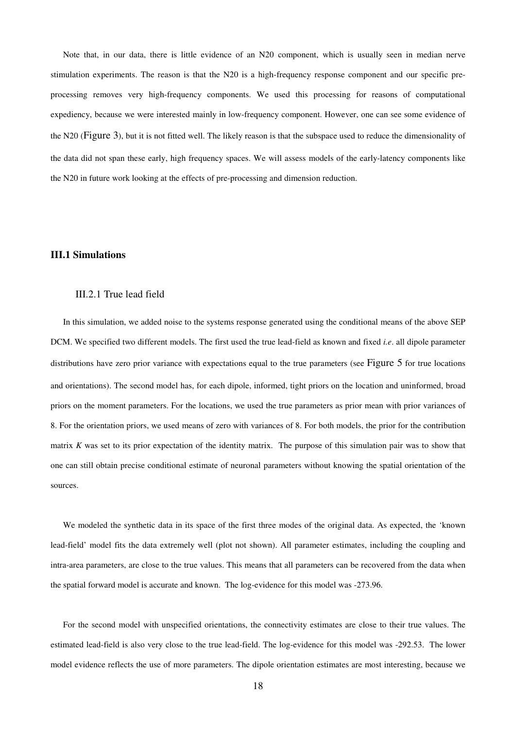Note that, in our data, there is little evidence of an N20 component, which is usually seen in median nerve stimulation experiments. The reason is that the N20 is a high-frequency response component and our specific preprocessing removes very high-frequency components. We used this processing for reasons of computational expediency, because we were interested mainly in low-frequency component. However, one can see some evidence of the N20 (Figure 3), but it is not fitted well. The likely reason is that the subspace used to reduce the dimensionality of the data did not span these early, high frequency spaces. We will assess models of the early-latency components like the N20 in future work looking at the effects of pre-processing and dimension reduction.

## **III.1 Simulations**

#### III.2.1 True lead field

In this simulation, we added noise to the systems response generated using the conditional means of the above SEP DCM. We specified two different models. The first used the true lead-field as known and fixed *i.e*. all dipole parameter distributions have zero prior variance with expectations equal to the true parameters (see Figure 5 for true locations and orientations). The second model has, for each dipole, informed, tight priors on the location and uninformed, broad priors on the moment parameters. For the locations, we used the true parameters as prior mean with prior variances of 8. For the orientation priors, we used means of zero with variances of 8. For both models, the prior for the contribution matrix *K* was set to its prior expectation of the identity matrix. The purpose of this simulation pair was to show that one can still obtain precise conditional estimate of neuronal parameters without knowing the spatial orientation of the sources.

We modeled the synthetic data in its space of the first three modes of the original data. As expected, the 'known lead-field' model fits the data extremely well (plot not shown). All parameter estimates, including the coupling and intra-area parameters, are close to the true values. This means that all parameters can be recovered from the data when the spatial forward model is accurate and known. The log-evidence for this model was -273.96.

For the second model with unspecified orientations, the connectivity estimates are close to their true values. The estimated lead-field is also very close to the true lead-field. The log-evidence for this model was -292.53. The lower model evidence reflects the use of more parameters. The dipole orientation estimates are most interesting, because we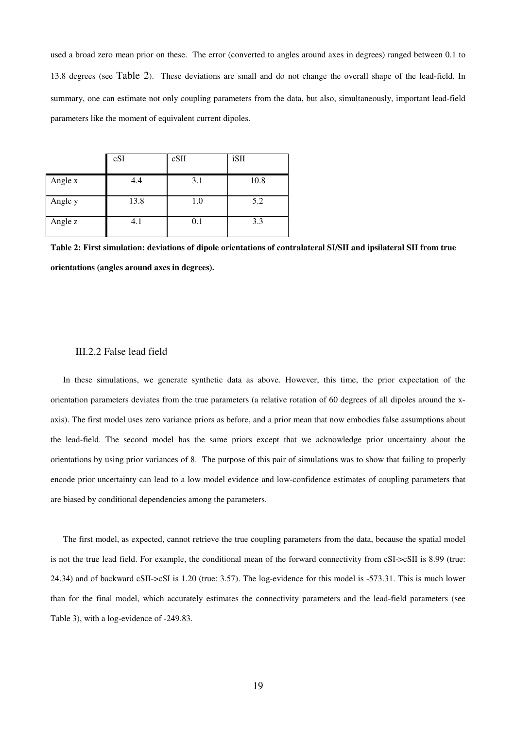used a broad zero mean prior on these. The error (converted to angles around axes in degrees) ranged between 0.1 to 13.8 degrees (see Table 2). These deviations are small and do not change the overall shape of the lead-field. In summary, one can estimate not only coupling parameters from the data, but also, simultaneously, important lead-field parameters like the moment of equivalent current dipoles.

|         | cSI  | cSII | iSII |
|---------|------|------|------|
| Angle x | 4.4  | 3.1  | 10.8 |
| Angle y | 13.8 | 1.0  | 5.2  |
| Angle z | 4.1  | 0.1  | 3.3  |

**Table 2: First simulation: deviations of dipole orientations of contralateral SI/SII and ipsilateral SII from true orientations (angles around axes in degrees).** 

#### III.2.2 False lead field

In these simulations, we generate synthetic data as above. However, this time, the prior expectation of the orientation parameters deviates from the true parameters (a relative rotation of 60 degrees of all dipoles around the xaxis). The first model uses zero variance priors as before, and a prior mean that now embodies false assumptions about the lead-field. The second model has the same priors except that we acknowledge prior uncertainty about the orientations by using prior variances of 8. The purpose of this pair of simulations was to show that failing to properly encode prior uncertainty can lead to a low model evidence and low-confidence estimates of coupling parameters that are biased by conditional dependencies among the parameters.

The first model, as expected, cannot retrieve the true coupling parameters from the data, because the spatial model is not the true lead field. For example, the conditional mean of the forward connectivity from cSI->cSII is 8.99 (true: 24.34) and of backward cSII->cSI is 1.20 (true: 3.57). The log-evidence for this model is -573.31. This is much lower than for the final model, which accurately estimates the connectivity parameters and the lead-field parameters (see Table 3), with a log-evidence of -249.83.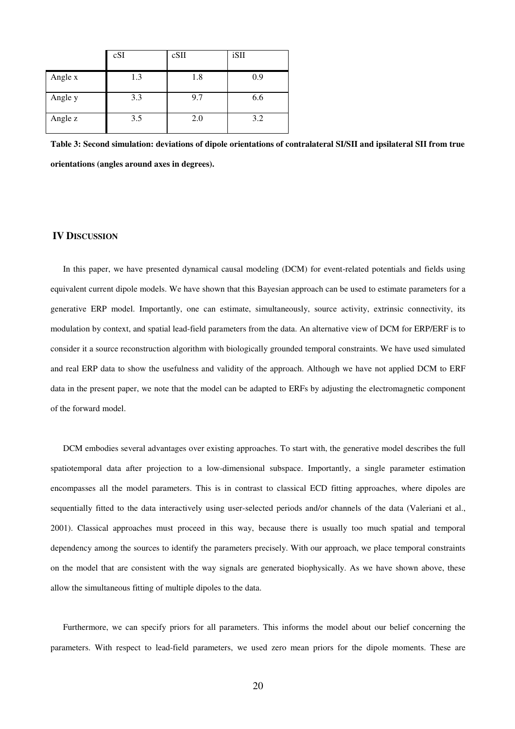|         | cSI | cSII | iSII |
|---------|-----|------|------|
| Angle x | 1.3 | 1.8  | 0.9  |
| Angle y | 3.3 | 9.7  | 6.6  |
| Angle z | 3.5 | 2.0  | 3.2  |

**Table 3: Second simulation: deviations of dipole orientations of contralateral SI/SII and ipsilateral SII from true orientations (angles around axes in degrees).** 

### **IV DISCUSSION**

In this paper, we have presented dynamical causal modeling (DCM) for event-related potentials and fields using equivalent current dipole models. We have shown that this Bayesian approach can be used to estimate parameters for a generative ERP model. Importantly, one can estimate, simultaneously, source activity, extrinsic connectivity, its modulation by context, and spatial lead-field parameters from the data. An alternative view of DCM for ERP/ERF is to consider it a source reconstruction algorithm with biologically grounded temporal constraints. We have used simulated and real ERP data to show the usefulness and validity of the approach. Although we have not applied DCM to ERF data in the present paper, we note that the model can be adapted to ERFs by adjusting the electromagnetic component of the forward model.

DCM embodies several advantages over existing approaches. To start with, the generative model describes the full spatiotemporal data after projection to a low-dimensional subspace. Importantly, a single parameter estimation encompasses all the model parameters. This is in contrast to classical ECD fitting approaches, where dipoles are sequentially fitted to the data interactively using user-selected periods and/or channels of the data (Valeriani et al., 2001). Classical approaches must proceed in this way, because there is usually too much spatial and temporal dependency among the sources to identify the parameters precisely. With our approach, we place temporal constraints on the model that are consistent with the way signals are generated biophysically. As we have shown above, these allow the simultaneous fitting of multiple dipoles to the data.

Furthermore, we can specify priors for all parameters. This informs the model about our belief concerning the parameters. With respect to lead-field parameters, we used zero mean priors for the dipole moments. These are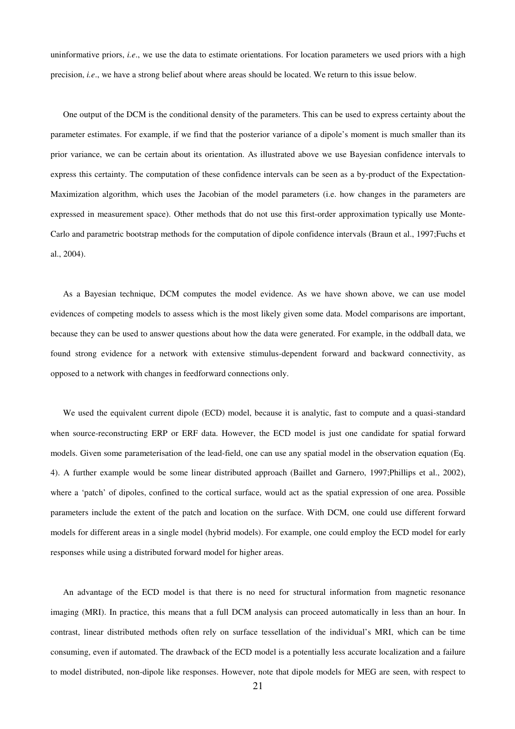uninformative priors, *i.e*., we use the data to estimate orientations. For location parameters we used priors with a high precision, *i.e*., we have a strong belief about where areas should be located. We return to this issue below.

One output of the DCM is the conditional density of the parameters. This can be used to express certainty about the parameter estimates. For example, if we find that the posterior variance of a dipole's moment is much smaller than its prior variance, we can be certain about its orientation. As illustrated above we use Bayesian confidence intervals to express this certainty. The computation of these confidence intervals can be seen as a by-product of the Expectation-Maximization algorithm, which uses the Jacobian of the model parameters (i.e. how changes in the parameters are expressed in measurement space). Other methods that do not use this first-order approximation typically use Monte-Carlo and parametric bootstrap methods for the computation of dipole confidence intervals (Braun et al., 1997;Fuchs et al., 2004).

As a Bayesian technique, DCM computes the model evidence. As we have shown above, we can use model evidences of competing models to assess which is the most likely given some data. Model comparisons are important, because they can be used to answer questions about how the data were generated. For example, in the oddball data, we found strong evidence for a network with extensive stimulus-dependent forward and backward connectivity, as opposed to a network with changes in feedforward connections only.

We used the equivalent current dipole (ECD) model, because it is analytic, fast to compute and a quasi-standard when source-reconstructing ERP or ERF data. However, the ECD model is just one candidate for spatial forward models. Given some parameterisation of the lead-field, one can use any spatial model in the observation equation (Eq. 4). A further example would be some linear distributed approach (Baillet and Garnero, 1997;Phillips et al., 2002), where a 'patch' of dipoles, confined to the cortical surface, would act as the spatial expression of one area. Possible parameters include the extent of the patch and location on the surface. With DCM, one could use different forward models for different areas in a single model (hybrid models). For example, one could employ the ECD model for early responses while using a distributed forward model for higher areas.

An advantage of the ECD model is that there is no need for structural information from magnetic resonance imaging (MRI). In practice, this means that a full DCM analysis can proceed automatically in less than an hour. In contrast, linear distributed methods often rely on surface tessellation of the individual's MRI, which can be time consuming, even if automated. The drawback of the ECD model is a potentially less accurate localization and a failure to model distributed, non-dipole like responses. However, note that dipole models for MEG are seen, with respect to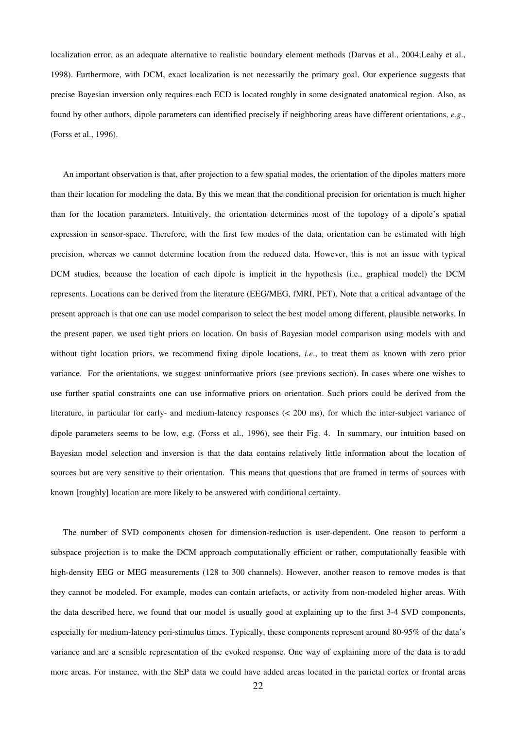localization error, as an adequate alternative to realistic boundary element methods (Darvas et al., 2004;Leahy et al., 1998). Furthermore, with DCM, exact localization is not necessarily the primary goal. Our experience suggests that precise Bayesian inversion only requires each ECD is located roughly in some designated anatomical region. Also, as found by other authors, dipole parameters can identified precisely if neighboring areas have different orientations, *e.g*., (Forss et al., 1996).

An important observation is that, after projection to a few spatial modes, the orientation of the dipoles matters more than their location for modeling the data. By this we mean that the conditional precision for orientation is much higher than for the location parameters. Intuitively, the orientation determines most of the topology of a dipole's spatial expression in sensor-space. Therefore, with the first few modes of the data, orientation can be estimated with high precision, whereas we cannot determine location from the reduced data. However, this is not an issue with typical DCM studies, because the location of each dipole is implicit in the hypothesis (i.e., graphical model) the DCM represents. Locations can be derived from the literature (EEG/MEG, fMRI, PET). Note that a critical advantage of the present approach is that one can use model comparison to select the best model among different, plausible networks. In the present paper, we used tight priors on location. On basis of Bayesian model comparison using models with and without tight location priors, we recommend fixing dipole locations, *i.e.*, to treat them as known with zero prior variance. For the orientations, we suggest uninformative priors (see previous section). In cases where one wishes to use further spatial constraints one can use informative priors on orientation. Such priors could be derived from the literature, in particular for early- and medium-latency responses (< 200 ms), for which the inter-subject variance of dipole parameters seems to be low, e.g. (Forss et al., 1996), see their Fig. 4. In summary, our intuition based on Bayesian model selection and inversion is that the data contains relatively little information about the location of sources but are very sensitive to their orientation. This means that questions that are framed in terms of sources with known [roughly] location are more likely to be answered with conditional certainty.

The number of SVD components chosen for dimension-reduction is user-dependent. One reason to perform a subspace projection is to make the DCM approach computationally efficient or rather, computationally feasible with high-density EEG or MEG measurements (128 to 300 channels). However, another reason to remove modes is that they cannot be modeled. For example, modes can contain artefacts, or activity from non-modeled higher areas. With the data described here, we found that our model is usually good at explaining up to the first 3-4 SVD components, especially for medium-latency peri-stimulus times. Typically, these components represent around 80-95% of the data's variance and are a sensible representation of the evoked response. One way of explaining more of the data is to add more areas. For instance, with the SEP data we could have added areas located in the parietal cortex or frontal areas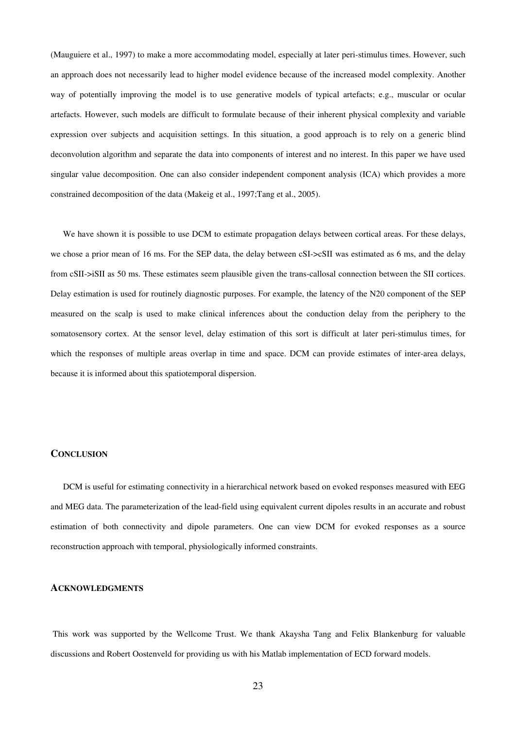(Mauguiere et al., 1997) to make a more accommodating model, especially at later peri-stimulus times. However, such an approach does not necessarily lead to higher model evidence because of the increased model complexity. Another way of potentially improving the model is to use generative models of typical artefacts; e.g., muscular or ocular artefacts. However, such models are difficult to formulate because of their inherent physical complexity and variable expression over subjects and acquisition settings. In this situation, a good approach is to rely on a generic blind deconvolution algorithm and separate the data into components of interest and no interest. In this paper we have used singular value decomposition. One can also consider independent component analysis (ICA) which provides a more constrained decomposition of the data (Makeig et al., 1997;Tang et al., 2005).

We have shown it is possible to use DCM to estimate propagation delays between cortical areas. For these delays, we chose a prior mean of 16 ms. For the SEP data, the delay between cSI->cSII was estimated as 6 ms, and the delay from cSII->iSII as 50 ms. These estimates seem plausible given the trans-callosal connection between the SII cortices. Delay estimation is used for routinely diagnostic purposes. For example, the latency of the N20 component of the SEP measured on the scalp is used to make clinical inferences about the conduction delay from the periphery to the somatosensory cortex. At the sensor level, delay estimation of this sort is difficult at later peri-stimulus times, for which the responses of multiple areas overlap in time and space. DCM can provide estimates of inter-area delays, because it is informed about this spatiotemporal dispersion.

# **CONCLUSION**

DCM is useful for estimating connectivity in a hierarchical network based on evoked responses measured with EEG and MEG data. The parameterization of the lead-field using equivalent current dipoles results in an accurate and robust estimation of both connectivity and dipole parameters. One can view DCM for evoked responses as a source reconstruction approach with temporal, physiologically informed constraints.

#### **ACKNOWLEDGMENTS**

 This work was supported by the Wellcome Trust. We thank Akaysha Tang and Felix Blankenburg for valuable discussions and Robert Oostenveld for providing us with his Matlab implementation of ECD forward models.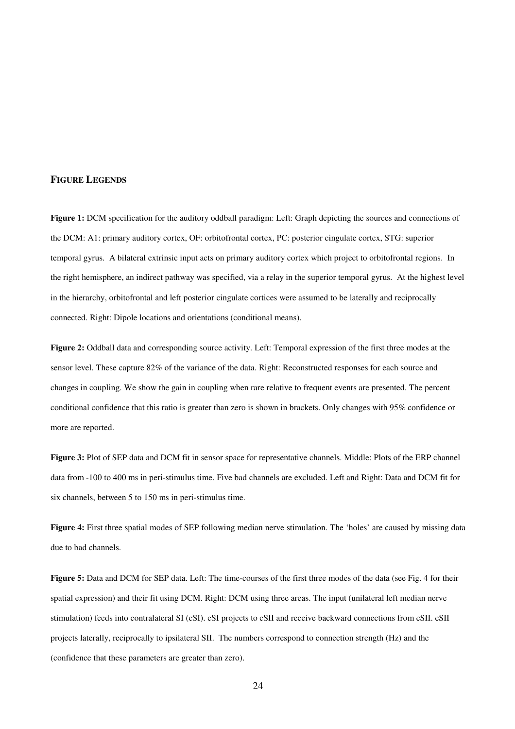#### **FIGURE LEGENDS**

**Figure 1:** DCM specification for the auditory oddball paradigm: Left: Graph depicting the sources and connections of the DCM: A1: primary auditory cortex, OF: orbitofrontal cortex, PC: posterior cingulate cortex, STG: superior temporal gyrus. A bilateral extrinsic input acts on primary auditory cortex which project to orbitofrontal regions. In the right hemisphere, an indirect pathway was specified, via a relay in the superior temporal gyrus. At the highest level in the hierarchy, orbitofrontal and left posterior cingulate cortices were assumed to be laterally and reciprocally connected. Right: Dipole locations and orientations (conditional means).

**Figure 2:** Oddball data and corresponding source activity. Left: Temporal expression of the first three modes at the sensor level. These capture 82% of the variance of the data. Right: Reconstructed responses for each source and changes in coupling. We show the gain in coupling when rare relative to frequent events are presented. The percent conditional confidence that this ratio is greater than zero is shown in brackets. Only changes with 95% confidence or more are reported.

**Figure 3:** Plot of SEP data and DCM fit in sensor space for representative channels. Middle: Plots of the ERP channel data from -100 to 400 ms in peri-stimulus time. Five bad channels are excluded. Left and Right: Data and DCM fit for six channels, between 5 to 150 ms in peri-stimulus time.

**Figure 4:** First three spatial modes of SEP following median nerve stimulation. The 'holes' are caused by missing data due to bad channels.

**Figure 5:** Data and DCM for SEP data. Left: The time-courses of the first three modes of the data (see Fig. 4 for their spatial expression) and their fit using DCM. Right: DCM using three areas. The input (unilateral left median nerve stimulation) feeds into contralateral SI (cSI). cSI projects to cSII and receive backward connections from cSII. cSII projects laterally, reciprocally to ipsilateral SII. The numbers correspond to connection strength (Hz) and the (confidence that these parameters are greater than zero).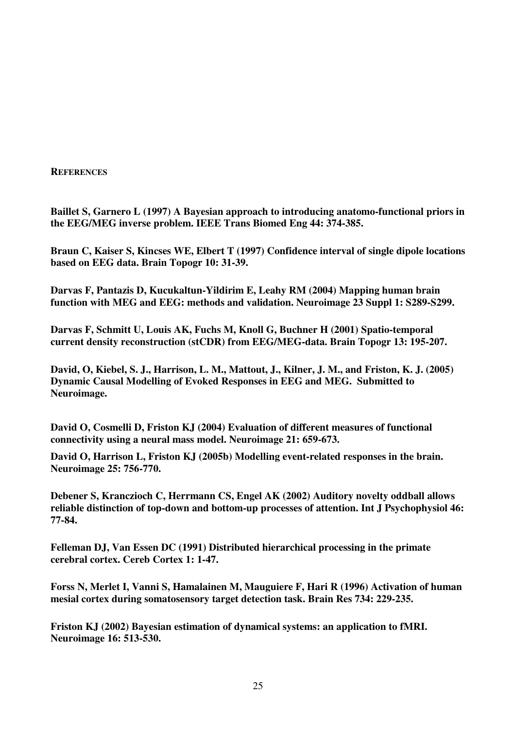# **REFERENCES**

**Baillet S, Garnero L (1997) A Bayesian approach to introducing anatomo-functional priors in the EEG/MEG inverse problem. IEEE Trans Biomed Eng 44: 374-385.** 

**Braun C, Kaiser S, Kincses WE, Elbert T (1997) Confidence interval of single dipole locations based on EEG data. Brain Topogr 10: 31-39.** 

**Darvas F, Pantazis D, Kucukaltun-Yildirim E, Leahy RM (2004) Mapping human brain function with MEG and EEG: methods and validation. Neuroimage 23 Suppl 1: S289-S299.** 

**Darvas F, Schmitt U, Louis AK, Fuchs M, Knoll G, Buchner H (2001) Spatio-temporal current density reconstruction (stCDR) from EEG/MEG-data. Brain Topogr 13: 195-207.** 

**David, O, Kiebel, S. J., Harrison, L. M., Mattout, J., Kilner, J. M., and Friston, K. J. (2005) Dynamic Causal Modelling of Evoked Responses in EEG and MEG. Submitted to Neuroimage.** 

**David O, Cosmelli D, Friston KJ (2004) Evaluation of different measures of functional connectivity using a neural mass model. Neuroimage 21: 659-673.** 

**David O, Harrison L, Friston KJ (2005b) Modelling event-related responses in the brain. Neuroimage 25: 756-770.** 

**Debener S, Kranczioch C, Herrmann CS, Engel AK (2002) Auditory novelty oddball allows reliable distinction of top-down and bottom-up processes of attention. Int J Psychophysiol 46: 77-84.** 

**Felleman DJ, Van Essen DC (1991) Distributed hierarchical processing in the primate cerebral cortex. Cereb Cortex 1: 1-47.** 

**Forss N, Merlet I, Vanni S, Hamalainen M, Mauguiere F, Hari R (1996) Activation of human mesial cortex during somatosensory target detection task. Brain Res 734: 229-235.** 

**Friston KJ (2002) Bayesian estimation of dynamical systems: an application to fMRI. Neuroimage 16: 513-530.**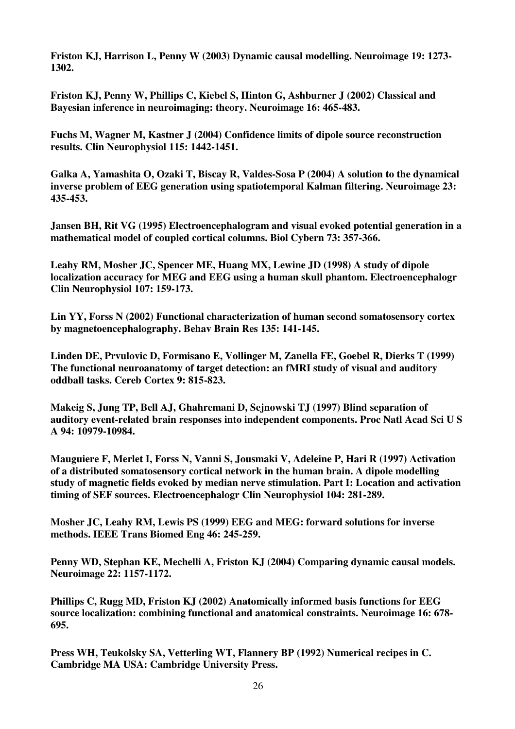**Friston KJ, Harrison L, Penny W (2003) Dynamic causal modelling. Neuroimage 19: 1273- 1302.** 

**Friston KJ, Penny W, Phillips C, Kiebel S, Hinton G, Ashburner J (2002) Classical and Bayesian inference in neuroimaging: theory. Neuroimage 16: 465-483.** 

**Fuchs M, Wagner M, Kastner J (2004) Confidence limits of dipole source reconstruction results. Clin Neurophysiol 115: 1442-1451.** 

**Galka A, Yamashita O, Ozaki T, Biscay R, Valdes-Sosa P (2004) A solution to the dynamical inverse problem of EEG generation using spatiotemporal Kalman filtering. Neuroimage 23: 435-453.** 

**Jansen BH, Rit VG (1995) Electroencephalogram and visual evoked potential generation in a mathematical model of coupled cortical columns. Biol Cybern 73: 357-366.** 

**Leahy RM, Mosher JC, Spencer ME, Huang MX, Lewine JD (1998) A study of dipole localization accuracy for MEG and EEG using a human skull phantom. Electroencephalogr Clin Neurophysiol 107: 159-173.** 

**Lin YY, Forss N (2002) Functional characterization of human second somatosensory cortex by magnetoencephalography. Behav Brain Res 135: 141-145.** 

**Linden DE, Prvulovic D, Formisano E, Vollinger M, Zanella FE, Goebel R, Dierks T (1999) The functional neuroanatomy of target detection: an fMRI study of visual and auditory oddball tasks. Cereb Cortex 9: 815-823.** 

**Makeig S, Jung TP, Bell AJ, Ghahremani D, Sejnowski TJ (1997) Blind separation of auditory event-related brain responses into independent components. Proc Natl Acad Sci U S A 94: 10979-10984.** 

**Mauguiere F, Merlet I, Forss N, Vanni S, Jousmaki V, Adeleine P, Hari R (1997) Activation of a distributed somatosensory cortical network in the human brain. A dipole modelling study of magnetic fields evoked by median nerve stimulation. Part I: Location and activation timing of SEF sources. Electroencephalogr Clin Neurophysiol 104: 281-289.** 

**Mosher JC, Leahy RM, Lewis PS (1999) EEG and MEG: forward solutions for inverse methods. IEEE Trans Biomed Eng 46: 245-259.** 

**Penny WD, Stephan KE, Mechelli A, Friston KJ (2004) Comparing dynamic causal models. Neuroimage 22: 1157-1172.** 

**Phillips C, Rugg MD, Friston KJ (2002) Anatomically informed basis functions for EEG source localization: combining functional and anatomical constraints. Neuroimage 16: 678- 695.** 

**Press WH, Teukolsky SA, Vetterling WT, Flannery BP (1992) Numerical recipes in C. Cambridge MA USA: Cambridge University Press.**